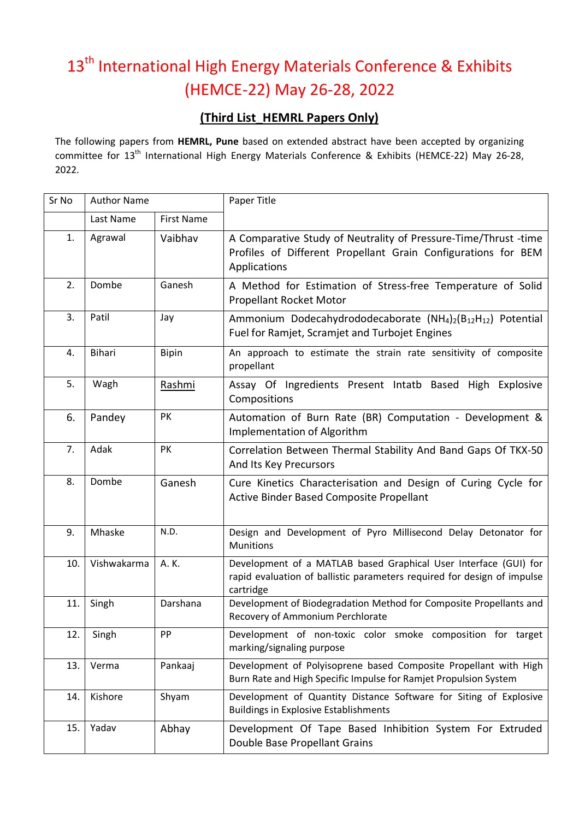## 13<sup>th</sup> International High Energy Materials Conference & Exhibits (HEMCE-22) May 26-28, 2022

## **(Third List\_HEMRL Papers Only)**

The following papers from **HEMRL, Pune** based on extended abstract have been accepted by organizing committee for 13<sup>th</sup> International High Energy Materials Conference & Exhibits (HEMCE-22) May 26-28, 2022.

| Sr No | <b>Author Name</b> |                   | Paper Title                                                                                                                                              |
|-------|--------------------|-------------------|----------------------------------------------------------------------------------------------------------------------------------------------------------|
|       | Last Name          | <b>First Name</b> |                                                                                                                                                          |
| 1.    | Agrawal            | Vaibhav           | A Comparative Study of Neutrality of Pressure-Time/Thrust -time<br>Profiles of Different Propellant Grain Configurations for BEM<br>Applications         |
| 2.    | Dombe              | Ganesh            | A Method for Estimation of Stress-free Temperature of Solid<br>Propellant Rocket Motor                                                                   |
| 3.    | Patil              | Jay               | Ammonium Dodecahydrododecaborate $(NH_4)_2(B_{12}H_{12})$ Potential<br>Fuel for Ramjet, Scramjet and Turbojet Engines                                    |
| 4.    | <b>Bihari</b>      | <b>Bipin</b>      | An approach to estimate the strain rate sensitivity of composite<br>propellant                                                                           |
| 5.    | Wagh               | Rashmi            | Assay Of Ingredients Present Intatb Based High Explosive<br>Compositions                                                                                 |
| 6.    | Pandey             | PK                | Automation of Burn Rate (BR) Computation - Development &<br>Implementation of Algorithm                                                                  |
| 7.    | Adak               | PK                | Correlation Between Thermal Stability And Band Gaps Of TKX-50<br>And Its Key Precursors                                                                  |
| 8.    | Dombe              | Ganesh            | Cure Kinetics Characterisation and Design of Curing Cycle for<br>Active Binder Based Composite Propellant                                                |
| 9.    | Mhaske             | N.D.              | Design and Development of Pyro Millisecond Delay Detonator for<br><b>Munitions</b>                                                                       |
| 10.   | Vishwakarma        | A. K.             | Development of a MATLAB based Graphical User Interface (GUI) for<br>rapid evaluation of ballistic parameters required for design of impulse<br>cartridge |
| 11.   | Singh              | Darshana          | Development of Biodegradation Method for Composite Propellants and<br>Recovery of Ammonium Perchlorate                                                   |
| 12.   | Singh              | PP                | Development of non-toxic color smoke composition for target<br>marking/signaling purpose                                                                 |
| 13.   | Verma              | Pankaaj           | Development of Polyisoprene based Composite Propellant with High<br>Burn Rate and High Specific Impulse for Ramjet Propulsion System                     |
| 14.   | Kishore            | Shyam             | Development of Quantity Distance Software for Siting of Explosive<br><b>Buildings in Explosive Establishments</b>                                        |
| 15.   | Yadav              | Abhay             | Development Of Tape Based Inhibition System For Extruded<br>Double Base Propellant Grains                                                                |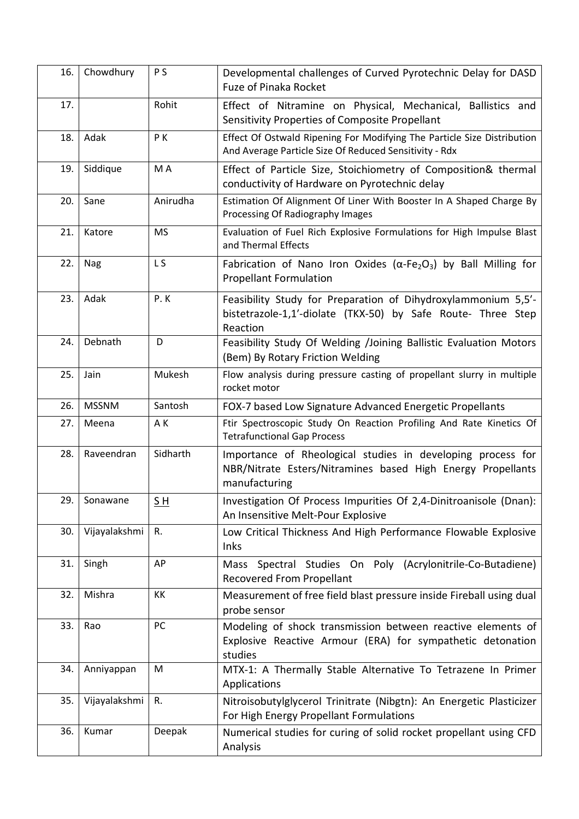| 16. | Chowdhury     | P <sub>S</sub> | Developmental challenges of Curved Pyrotechnic Delay for DASD<br><b>Fuze of Pinaka Rocket</b>                                               |
|-----|---------------|----------------|---------------------------------------------------------------------------------------------------------------------------------------------|
| 17. |               | Rohit          | Effect of Nitramine on Physical, Mechanical, Ballistics and<br>Sensitivity Properties of Composite Propellant                               |
| 18. | Adak          | PK             | Effect Of Ostwald Ripening For Modifying The Particle Size Distribution<br>And Average Particle Size Of Reduced Sensitivity - Rdx           |
| 19. | Siddique      | M A            | Effect of Particle Size, Stoichiometry of Composition& thermal<br>conductivity of Hardware on Pyrotechnic delay                             |
| 20. | Sane          | Anirudha       | Estimation Of Alignment Of Liner With Booster In A Shaped Charge By<br>Processing Of Radiography Images                                     |
| 21. | Katore        | <b>MS</b>      | Evaluation of Fuel Rich Explosive Formulations for High Impulse Blast<br>and Thermal Effects                                                |
| 22. | Nag           | L <sub>S</sub> | Fabrication of Nano Iron Oxides ( $\alpha$ -Fe <sub>2</sub> O <sub>3</sub> ) by Ball Milling for<br><b>Propellant Formulation</b>           |
| 23. | Adak          | P.K            | Feasibility Study for Preparation of Dihydroxylammonium 5,5'-<br>bistetrazole-1,1'-diolate (TKX-50) by Safe Route- Three Step<br>Reaction   |
| 24. | Debnath       | D              | Feasibility Study Of Welding /Joining Ballistic Evaluation Motors<br>(Bem) By Rotary Friction Welding                                       |
| 25. | Jain          | Mukesh         | Flow analysis during pressure casting of propellant slurry in multiple<br>rocket motor                                                      |
| 26. | <b>MSSNM</b>  | Santosh        | FOX-7 based Low Signature Advanced Energetic Propellants                                                                                    |
| 27. | Meena         | A K            | Ftir Spectroscopic Study On Reaction Profiling And Rate Kinetics Of<br><b>Tetrafunctional Gap Process</b>                                   |
| 28. | Raveendran    | Sidharth       | Importance of Rheological studies in developing process for<br>NBR/Nitrate Esters/Nitramines based High Energy Propellants<br>manufacturing |
| 29. | Sonawane      | $S_H$          | Investigation Of Process Impurities Of 2,4-Dinitroanisole (Dnan):<br>An Insensitive Melt-Pour Explosive                                     |
| 30. | Vijayalakshmi | R.             | Low Critical Thickness And High Performance Flowable Explosive<br>Inks                                                                      |
| 31. | Singh         | AP             | Mass Spectral Studies On Poly (Acrylonitrile-Co-Butadiene)<br><b>Recovered From Propellant</b>                                              |
| 32. | Mishra        | KK             | Measurement of free field blast pressure inside Fireball using dual<br>probe sensor                                                         |
| 33. | Rao           | PC             | Modeling of shock transmission between reactive elements of<br>Explosive Reactive Armour (ERA) for sympathetic detonation<br>studies        |
| 34. | Anniyappan    | M              | MTX-1: A Thermally Stable Alternative To Tetrazene In Primer<br>Applications                                                                |
| 35. | Vijayalakshmi | R.             | Nitroisobutylglycerol Trinitrate (Nibgtn): An Energetic Plasticizer<br>For High Energy Propellant Formulations                              |
| 36. | Kumar         | Deepak         | Numerical studies for curing of solid rocket propellant using CFD<br>Analysis                                                               |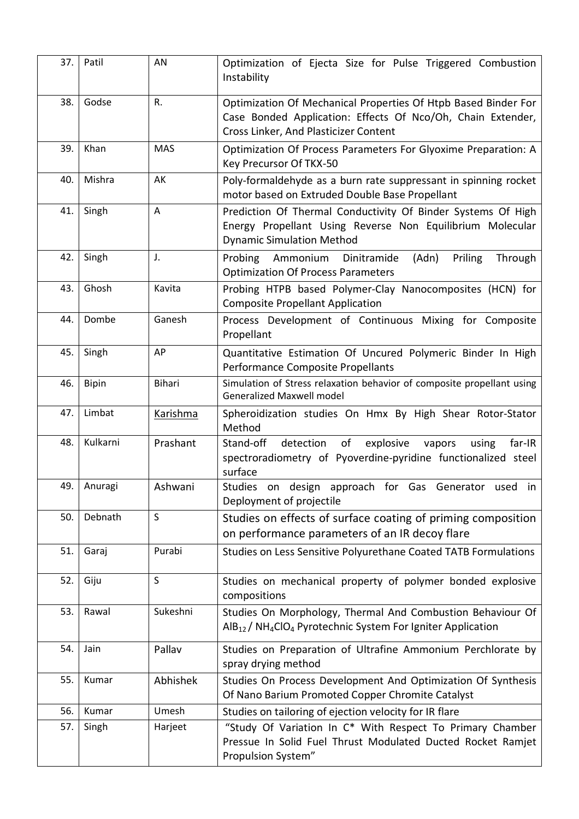| 37. | Patil        | AN              | Optimization of Ejecta Size for Pulse Triggered Combustion<br>Instability                                                                                              |
|-----|--------------|-----------------|------------------------------------------------------------------------------------------------------------------------------------------------------------------------|
| 38. | Godse        | R.              | Optimization Of Mechanical Properties Of Htpb Based Binder For<br>Case Bonded Application: Effects Of Nco/Oh, Chain Extender,<br>Cross Linker, And Plasticizer Content |
| 39. | Khan         | <b>MAS</b>      | Optimization Of Process Parameters For Glyoxime Preparation: A<br>Key Precursor Of TKX-50                                                                              |
| 40. | Mishra       | AK              | Poly-formaldehyde as a burn rate suppressant in spinning rocket<br>motor based on Extruded Double Base Propellant                                                      |
| 41. | Singh        | $\mathsf{A}$    | Prediction Of Thermal Conductivity Of Binder Systems Of High<br>Energy Propellant Using Reverse Non Equilibrium Molecular<br><b>Dynamic Simulation Method</b>          |
| 42. | Singh        | J.              | Probing Ammonium Dinitramide<br>(Adn)<br>Priling<br>Through<br><b>Optimization Of Process Parameters</b>                                                               |
| 43. | Ghosh        | Kavita          | Probing HTPB based Polymer-Clay Nanocomposites (HCN) for<br><b>Composite Propellant Application</b>                                                                    |
| 44. | Dombe        | Ganesh          | Process Development of Continuous Mixing for Composite<br>Propellant                                                                                                   |
| 45. | Singh        | AP              | Quantitative Estimation Of Uncured Polymeric Binder In High<br>Performance Composite Propellants                                                                       |
| 46. | <b>Bipin</b> | <b>Bihari</b>   | Simulation of Stress relaxation behavior of composite propellant using<br><b>Generalized Maxwell model</b>                                                             |
| 47. | Limbat       | <b>Karishma</b> | Spheroidization studies On Hmx By High Shear Rotor-Stator<br>Method                                                                                                    |
| 48. | Kulkarni     | Prashant        | Stand-off<br>detection<br>of<br>explosive<br>vapors<br>far-IR<br>using<br>spectroradiometry of Pyoverdine-pyridine functionalized steel<br>surface                     |
| 49. | Anuragi      | Ashwani         | on design approach for Gas Generator used in<br>Studies<br>Deployment of projectile                                                                                    |
| 50. | Debnath      | S               | Studies on effects of surface coating of priming composition<br>on performance parameters of an IR decoy flare                                                         |
| 51. | Garaj        | Purabi          | Studies on Less Sensitive Polyurethane Coated TATB Formulations                                                                                                        |
| 52. | Giju         | S               | Studies on mechanical property of polymer bonded explosive<br>compositions                                                                                             |
| 53. | Rawal        | Sukeshni        | Studies On Morphology, Thermal And Combustion Behaviour Of<br>AlB <sub>12</sub> / NH <sub>4</sub> ClO <sub>4</sub> Pyrotechnic System For Igniter Application          |
| 54. | Jain         | Pallav          | Studies on Preparation of Ultrafine Ammonium Perchlorate by<br>spray drying method                                                                                     |
| 55. | Kumar        | Abhishek        | Studies On Process Development And Optimization Of Synthesis<br>Of Nano Barium Promoted Copper Chromite Catalyst                                                       |
| 56. | Kumar        | Umesh           | Studies on tailoring of ejection velocity for IR flare                                                                                                                 |
| 57. | Singh        | Harjeet         | "Study Of Variation In C* With Respect To Primary Chamber<br>Pressue In Solid Fuel Thrust Modulated Ducted Rocket Ramjet<br>Propulsion System"                         |